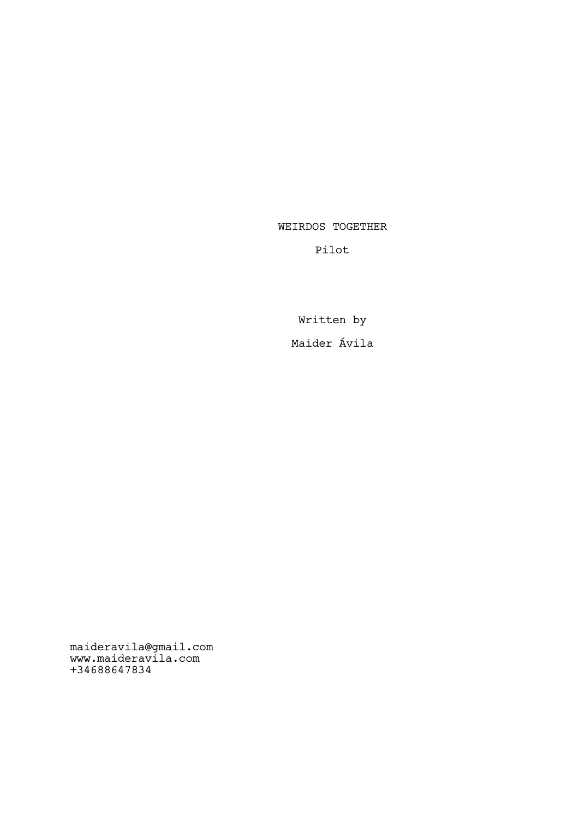WEIRDOS TOGETHER

Pilot

Written by Maider Ávila

maideravila@gmail.com www.maideravila.com +34688647834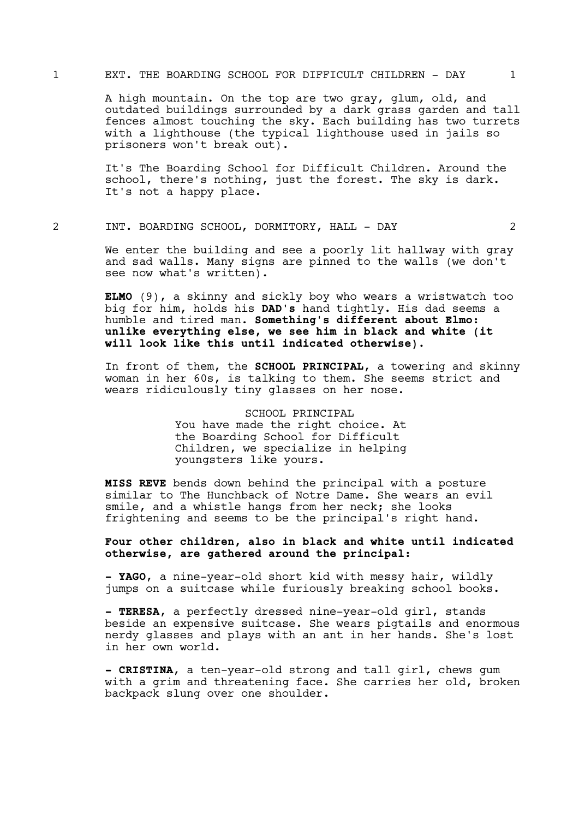### 1 EXT. THE BOARDING SCHOOL FOR DIFFICULT CHILDREN - DAY 1

A high mountain. On the top are two gray, glum, old, and outdated buildings surrounded by a dark grass garden and tall fences almost touching the sky. Each building has two turrets with a lighthouse (the typical lighthouse used in jails so prisoners won't break out).

It's The Boarding School for Difficult Children. Around the school, there's nothing, just the forest. The sky is dark. It's not a happy place.

#### 2 INT. BOARDING SCHOOL, DORMITORY, HALL - DAY 2

We enter the building and see a poorly lit hallway with gray and sad walls. Many signs are pinned to the walls (we don't see now what's written).

ELMO (9), a skinny and sickly boy who wears a wristwatch too big for him, holds his DAD's hand tightly. His dad seems a humble and tired man. Something's different about Elmo: unlike everything else, we see him in black and white (it will look like this until indicated otherwise).

In front of them, the SCHOOL PRINCIPAL, a towering and skinny woman in her 60s, is talking to them. She seems strict and wears ridiculously tiny glasses on her nose.

> SCHOOL PRINCIPAL You have made the right choice. At the Boarding School for Difficult Children, we specialize in helping youngsters like yours.

**MISS REVE** bends down behind the principal with a posture similar to The Hunchback of Notre Dame. She wears an evil smile, and a whistle hangs from her neck; she looks frightening and seems to be the principal's right hand.

# Four other children, also in black and white until indicated otherwise, are gathered around the principal:

- YAGO, a nine-year-old short kid with messy hair, wildly jumps on a suitcase while furiously breaking school books.

- TERESA, a perfectly dressed nine-year-old girl, stands beside an expensive suitcase. She wears pigtails and enormous nerdy glasses and plays with an ant in her hands. She's lost in her own world.

- CRISTINA, a ten-year-old strong and tall girl, chews gum with a grim and threatening face. She carries her old, broken backpack slung over one shoulder.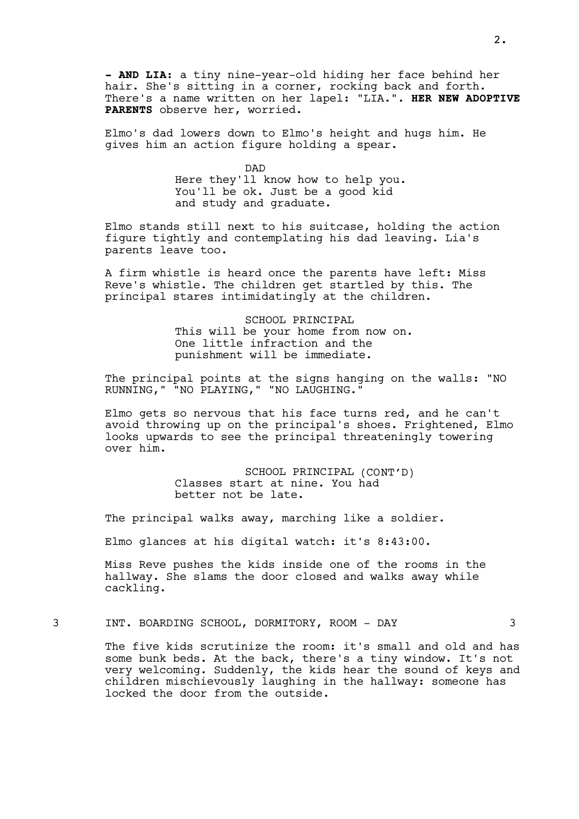- AND LIA: a tiny nine-year-old hiding her face behind her hair. She's sitting in a corner, rocking back and forth. There's a name written on her lapel: "LIA.". HER NEW ADOPTIVE PARENTS observe her, worried.

Elmo's dad lowers down to Elmo's height and hugs him. He gives him an action figure holding a spear.

> DAD Here they'll know how to help you. You'll be ok. Just be a good kid and study and graduate.

Elmo stands still next to his suitcase, holding the action figure tightly and contemplating his dad leaving. Lia's parents leave too.

A firm whistle is heard once the parents have left: Miss Reve's whistle. The children get startled by this. The principal stares intimidatingly at the children.

> SCHOOL PRINCIPAL This will be your home from now on. One little infraction and the punishment will be immediate.

The principal points at the signs hanging on the walls: "NO RUNNING," "NO PLAYING," "NO LAUGHING."

Elmo gets so nervous that his face turns red, and he can't avoid throwing up on the principal's shoes. Frightened, Elmo looks upwards to see the principal threateningly towering over him.

> SCHOOL PRINCIPAL (CONT'D) Classes start at nine. You had better not be late.

The principal walks away, marching like a soldier.

Elmo glances at his digital watch: it's 8:43:00.

Miss Reve pushes the kids inside one of the rooms in the hallway. She slams the door closed and walks away while cackling.

3 INT. BOARDING SCHOOL, DORMITORY, ROOM - DAY 3

The five kids scrutinize the room: it's small and old and has some bunk beds. At the back, there's a tiny window. It's not very welcoming. Suddenly, the kids hear the sound of keys and children mischievously laughing in the hallway: someone has locked the door from the outside.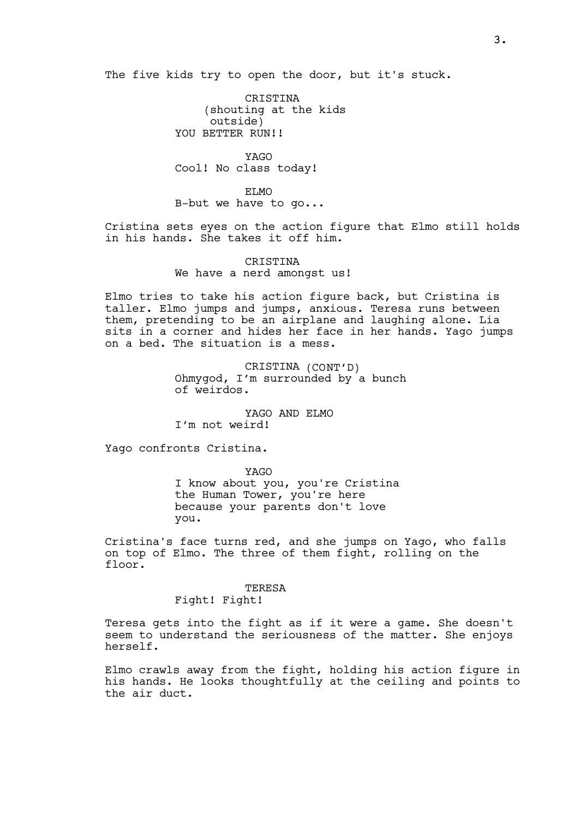The five kids try to open the door, but it's stuck.

CRISTINA (shouting at the kids outside) YOU BETTER RUN!!

YAGO Cool! No class today!

ELMO B-but we have to go...

Cristina sets eyes on the action figure that Elmo still holds in his hands. She takes it off him.

> CRISTINA We have a nerd amongst us!

Elmo tries to take his action figure back, but Cristina is taller. Elmo jumps and jumps, anxious. Teresa runs between them, pretending to be an airplane and laughing alone. Lia sits in a corner and hides her face in her hands. Yago jumps on a bed. The situation is a mess.

> CRISTINA (CONT'D) Ohmygod, I'm surrounded by a bunch of weirdos.

YAGO AND ELMO I'm not weird!

Yago confronts Cristina.

YAGO I know about you, you're Cristina the Human Tower, you're here because your parents don't love you.

Cristina's face turns red, and she jumps on Yago, who falls on top of Elmo. The three of them fight, rolling on the floor.

#### TERESA

Fight! Fight!

Teresa gets into the fight as if it were a game. She doesn't seem to understand the seriousness of the matter. She enjoys herself.

Elmo crawls away from the fight, holding his action figure in his hands. He looks thoughtfully at the ceiling and points to the air duct.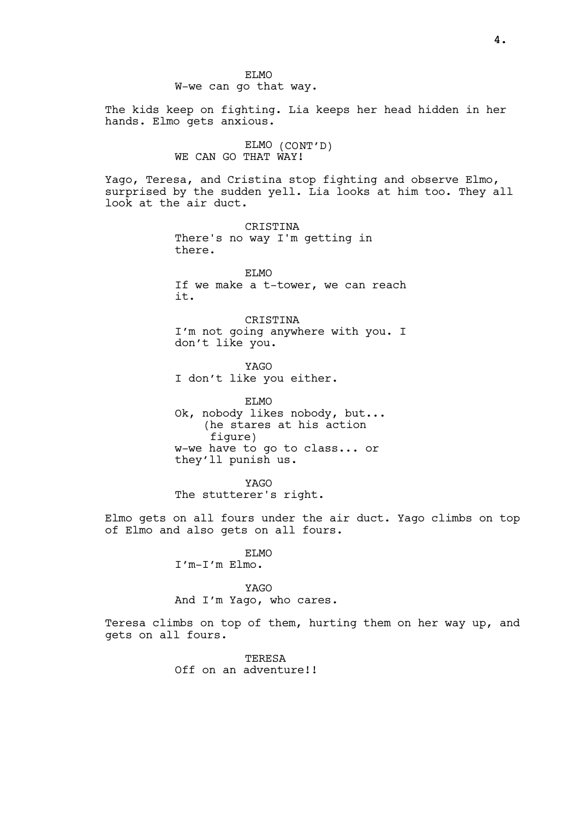The kids keep on fighting. Lia keeps her head hidden in her hands. Elmo gets anxious.

> ELMO (CONT'D) WE CAN GO THAT WAY!

Yago, Teresa, and Cristina stop fighting and observe Elmo, surprised by the sudden yell. Lia looks at him too. They all look at the air duct.

> **CRISTINA** There's no way I'm getting in there.

ELMO If we make a t-tower, we can reach it.

**CRISTINA** I'm not going anywhere with you. I don't like you.

YAGO I don't like you either.

ELMO Ok, nobody likes nobody, but... (he stares at his action figure) w-we have to go to class... or they'll punish us.

YAGO The stutterer's right.

Elmo gets on all fours under the air duct. Yago climbs on top of Elmo and also gets on all fours.

# ELMO

I'm-I'm Elmo.

# YAGO

And I'm Yago, who cares.

Teresa climbs on top of them, hurting them on her way up, and gets on all fours.

> TERESA Off on an adventure!!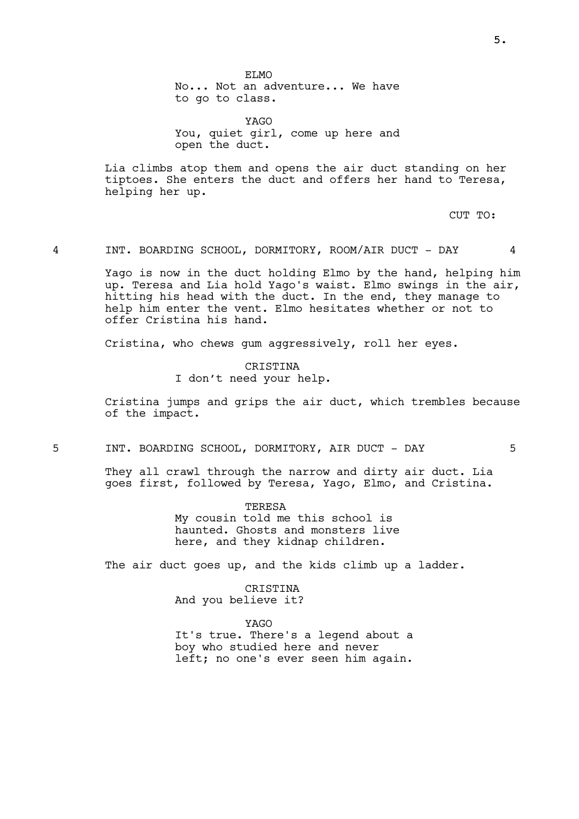ET.MO No... Not an adventure... We have to go to class.

YAGO You, quiet girl, come up here and open the duct.

Lia climbs atop them and opens the air duct standing on her tiptoes. She enters the duct and offers her hand to Teresa, helping her up.

CUT TO:

4 INT. BOARDING SCHOOL, DORMITORY, ROOM/AIR DUCT - DAY 4

Yago is now in the duct holding Elmo by the hand, helping him up. Teresa and Lia hold Yago's waist. Elmo swings in the air, hitting his head with the duct. In the end, they manage to help him enter the vent. Elmo hesitates whether or not to offer Cristina his hand.

Cristina, who chews gum aggressively, roll her eyes.

CRISTINA I don't need your help.

Cristina jumps and grips the air duct, which trembles because of the impact.

5 INT. BOARDING SCHOOL, DORMITORY, AIR DUCT - DAY 5

They all crawl through the narrow and dirty air duct. Lia goes first, followed by Teresa, Yago, Elmo, and Cristina.

> TERESA My cousin told me this school is haunted. Ghosts and monsters live here, and they kidnap children.

The air duct goes up, and the kids climb up a ladder.

CRISTINA And you believe it?

YAGO

It's true. There's a legend about a boy who studied here and never left; no one's ever seen him again.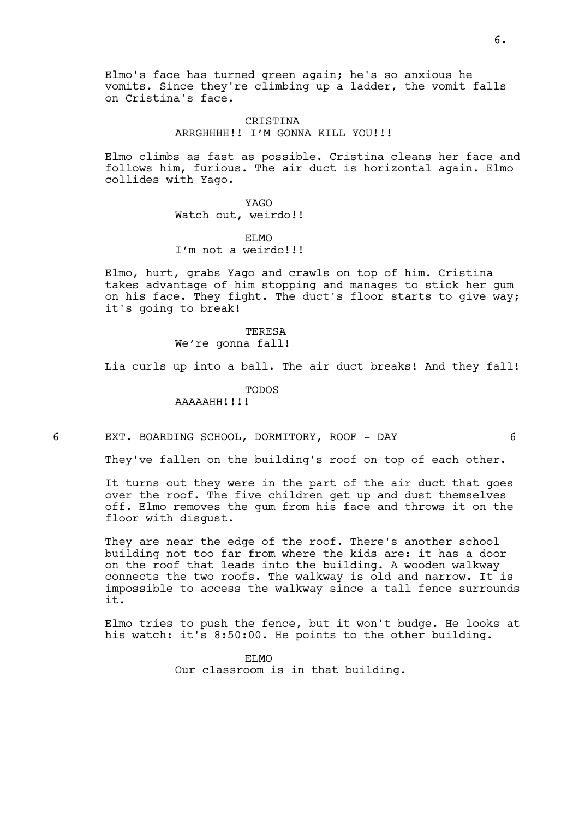Elmo's face has turned green again; he's so anxious he vomits. Since they're climbing up a ladder, the vomit falls on Cristina's face.

# CRISTINA ARRGHHHH!! I'M GONNA KILL YOU!!!

Elmo climbs as fast as possible. Cristina cleans her face and follows him, furious. The air duct is horizontal again. Elmo collides with Yago.

> YAGO Watch out, weirdo!!

ET.MO I'm not a weirdo!!!

Elmo, hurt, grabs Yago and crawls on top of him. Cristina takes advantage of him stopping and manages to stick her gum on his face. They fight. The duct's floor starts to give way; it's going to break!

> **TERESA** We're gonna fall!

Lia curls up into a ball. The air duct breaks! And they fall!

TODOS

AAAAAHH!!!!

6 EXT. BOARDING SCHOOL, DORMITORY, ROOF - DAY 6

They've fallen on the building's roof on top of each other.

It turns out they were in the part of the air duct that goes over the roof. The five children get up and dust themselves off. Elmo removes the gum from his face and throws it on the floor with disgust.

They are near the edge of the roof. There's another school building not too far from where the kids are: it has a door on the roof that leads into the building. A wooden walkway connects the two roofs. The walkway is old and narrow. It is impossible to access the walkway since a tall fence surrounds it.

Elmo tries to push the fence, but it won't budge. He looks at his watch: it's 8:50:00. He points to the other building.

> ET MO Our classroom is in that building.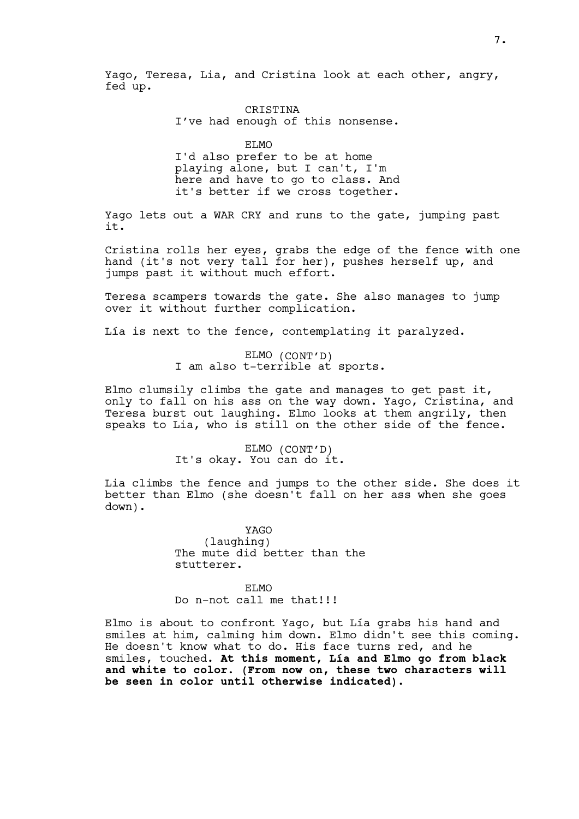Yago, Teresa, Lia, and Cristina look at each other, angry, fed up.

## CRISTINA I've had enough of this nonsense.

ELMO

I'd also prefer to be at home playing alone, but I can't, I'm here and have to go to class. And it's better if we cross together.

Yago lets out a WAR CRY and runs to the gate, jumping past it.

Cristina rolls her eyes, grabs the edge of the fence with one hand (it's not very tall for her), pushes herself up, and jumps past it without much effort.

Teresa scampers towards the gate. She also manages to jump over it without further complication.

Lía is next to the fence, contemplating it paralyzed.

# ELMO (CONT'D) I am also t-terrible at sports.

Elmo clumsily climbs the gate and manages to get past it, only to fall on his ass on the way down. Yago, Cristina, and Teresa burst out laughing. Elmo looks at them angrily, then speaks to Lia, who is still on the other side of the fence.

#### ELMO (CONT'D) It's okay. You can do it.

Lia climbs the fence and jumps to the other side. She does it better than Elmo (she doesn't fall on her ass when she goes down).

> YAGO (laughing) The mute did better than the stutterer.

# ET.MO Do n-not call me that!!!

Elmo is about to confront Yago, but Lía grabs his hand and smiles at him, calming him down. Elmo didn't see this coming. He doesn't know what to do. His face turns red, and he smiles, touched. At this moment, Lía and Elmo go from black and white to color. (From now on, these two characters will be seen in color until otherwise indicated).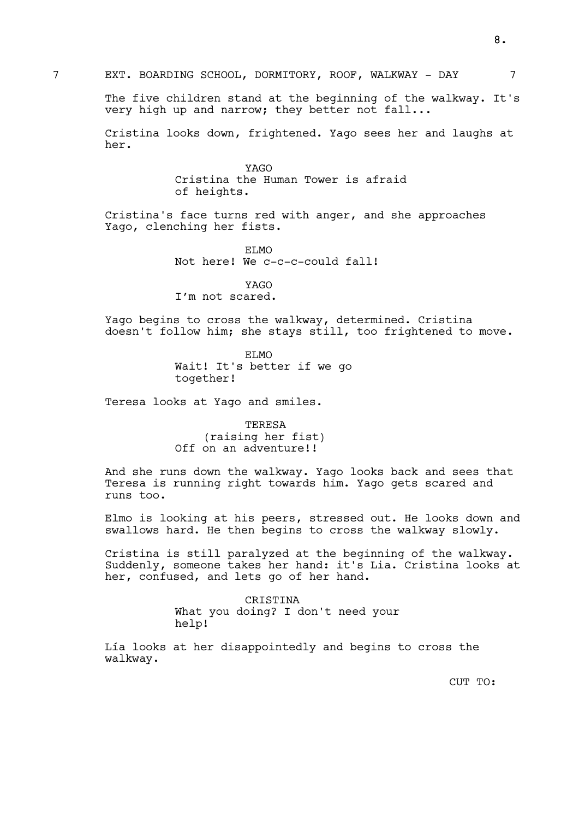The five children stand at the beginning of the walkway. It's very high up and narrow; they better not fall...

Cristina looks down, frightened. Yago sees her and laughs at her.

> YAGO Cristina the Human Tower is afraid of heights.

Cristina's face turns red with anger, and she approaches Yago, clenching her fists.

> ELMO Not here! We c-c-c-could fall!

YAGO I'm not scared.

Yago begins to cross the walkway, determined. Cristina doesn't follow him; she stays still, too frightened to move.

> ELMO Wait! It's better if we go together!

Teresa looks at Yago and smiles.

TERESA (raising her fist) Off on an adventure!!

And she runs down the walkway. Yago looks back and sees that Teresa is running right towards him. Yago gets scared and runs too.

Elmo is looking at his peers, stressed out. He looks down and swallows hard. He then begins to cross the walkway slowly.

Cristina is still paralyzed at the beginning of the walkway. Suddenly, someone takes her hand: it's Lia. Cristina looks at her, confused, and lets go of her hand.

> CRISTINA What you doing? I don't need your help!

Lía looks at her disappointedly and begins to cross the walkway.

CUT TO: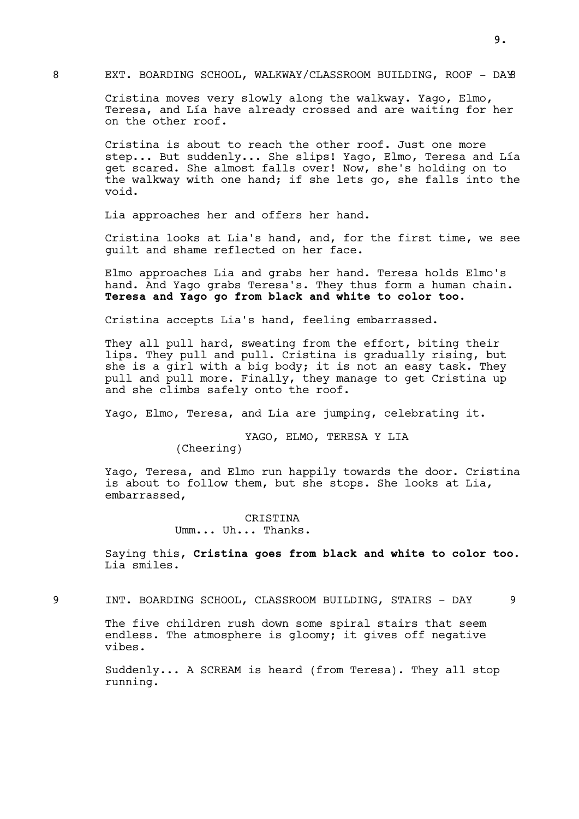# 8 EXT. BOARDING SCHOOL, WALKWAY/CLASSROOM BUILDING, ROOF - DAY

Cristina moves very slowly along the walkway. Yago, Elmo, Teresa, and Lía have already crossed and are waiting for her on the other roof.

Cristina is about to reach the other roof. Just one more step... But suddenly... She slips! Yago, Elmo, Teresa and Lía get scared. She almost falls over! Now, she's holding on to the walkway with one hand; if she lets go, she falls into the void.

Lia approaches her and offers her hand.

Cristina looks at Lia's hand, and, for the first time, we see guilt and shame reflected on her face.

Elmo approaches Lia and grabs her hand. Teresa holds Elmo's hand. And Yago grabs Teresa's. They thus form a human chain. Teresa and Yago go from black and white to color too.

Cristina accepts Lia's hand, feeling embarrassed.

They all pull hard, sweating from the effort, biting their lips. They pull and pull. Cristina is gradually rising, but she is a girl with a big body; it is not an easy task. They pull and pull more. Finally, they manage to get Cristina up and she climbs safely onto the roof.

Yago, Elmo, Teresa, and Lia are jumping, celebrating it.

YAGO, ELMO, TERESA Y LIA

(Cheering)

Yago, Teresa, and Elmo run happily towards the door. Cristina is about to follow them, but she stops. She looks at Lia, embarrassed,

> CRISTINA Umm... Uh... Thanks.

Saying this, Cristina goes from black and white to color too. Lia smiles.

9 INT. BOARDING SCHOOL, CLASSROOM BUILDING, STAIRS - DAY 9

The five children rush down some spiral stairs that seem endless. The atmosphere is gloomy; it gives off negative vibes.

Suddenly... A SCREAM is heard (from Teresa). They all stop running.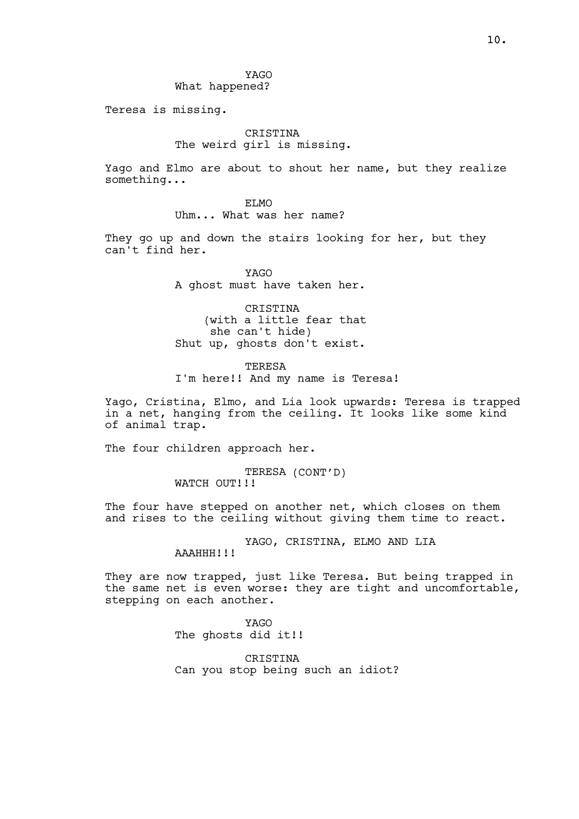YAGO What happened?

Teresa is missing.

# CRISTINA The weird girl is missing.

Yago and Elmo are about to shout her name, but they realize something...

> ET.MO Uhm... What was her name?

They go up and down the stairs looking for her, but they can't find her.

> YAGO A ghost must have taken her.

CRISTINA (with a little fear that she can't hide) Shut up, ghosts don't exist.

TERESA I'm here!! And my name is Teresa!

Yago, Cristina, Elmo, and Lia look upwards: Teresa is trapped in a net, hanging from the ceiling. It looks like some kind of animal trap.

The four children approach her.

TERESA (CONT'D) WATCH OUT!!!

The four have stepped on another net, which closes on them and rises to the ceiling without giving them time to react.

YAGO, CRISTINA, ELMO AND LIA

AAAHHH!!!

They are now trapped, just like Teresa. But being trapped in the same net is even worse: they are tight and uncomfortable, stepping on each another.

> YAGO The ghosts did it!!

**CRISTINA** Can you stop being such an idiot?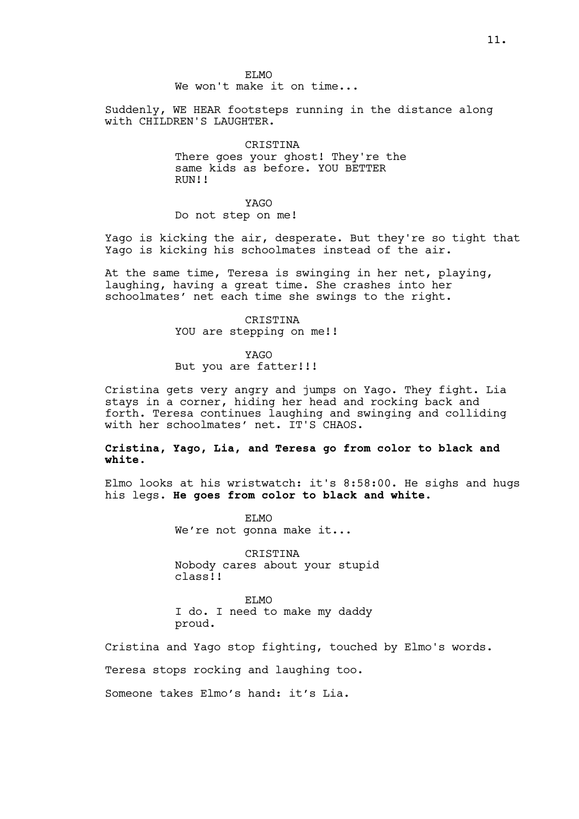ET.MO We won't make it on time...

Suddenly, WE HEAR footsteps running in the distance along with CHILDREN'S LAUGHTER.

> **CRISTINA** There goes your ghost! They're the same kids as before. YOU BETTER RIIN!!

YAGO Do not step on me!

Yago is kicking the air, desperate. But they're so tight that Yago is kicking his schoolmates instead of the air.

At the same time, Teresa is swinging in her net, playing, laughing, having a great time. She crashes into her schoolmates' net each time she swings to the right.

> CRISTINA YOU are stepping on me!!

> > YAGO

But you are fatter!!!

Cristina gets very angry and jumps on Yago. They fight. Lia stays in a corner, hiding her head and rocking back and forth. Teresa continues laughing and swinging and colliding with her schoolmates' net. IT'S CHAOS.

# Cristina, Yago, Lia, and Teresa go from color to black and white.

Elmo looks at his wristwatch: it's 8:58:00. He sighs and hugs his legs. He goes from color to black and white.

> ELMO We're not gonna make it...

CRISTINA Nobody cares about your stupid class!!

ELMO I do. I need to make my daddy proud.

Cristina and Yago stop fighting, touched by Elmo's words.

Teresa stops rocking and laughing too.

Someone takes Elmo's hand: it's Lia.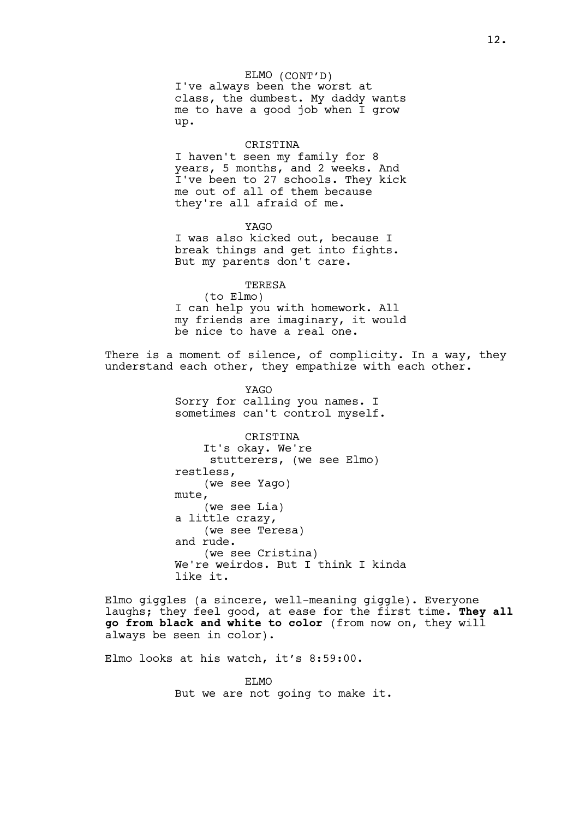ELMO (CONT'D) I've always been the worst at class, the dumbest. My daddy wants me to have a good job when I grow up.

#### CRISTINA

I haven't seen my family for 8 years, 5 months, and 2 weeks. And I've been to 27 schools. They kick me out of all of them because they're all afraid of me.

YAGO I was also kicked out, because I break things and get into fights. But my parents don't care.

**TERESA** (to Elmo) I can help you with homework. All my friends are imaginary, it would be nice to have a real one.

There is a moment of silence, of complicity. In a way, they understand each other, they empathize with each other.

> YAGO Sorry for calling you names. I sometimes can't control myself.

CRISTINA It's okay. We're stutterers, (we see Elmo) restless, (we see Yago) mute, (we see Lia) a little crazy, (we see Teresa) and rude. (we see Cristina) We're weirdos. But I think I kinda like it.

Elmo giggles (a sincere, well-meaning giggle). Everyone laughs; they feel good, at ease for the first time. They all go from black and white to color (from now on, they will always be seen in color).

Elmo looks at his watch, it's 8:59:00.

ET MO But we are not going to make it.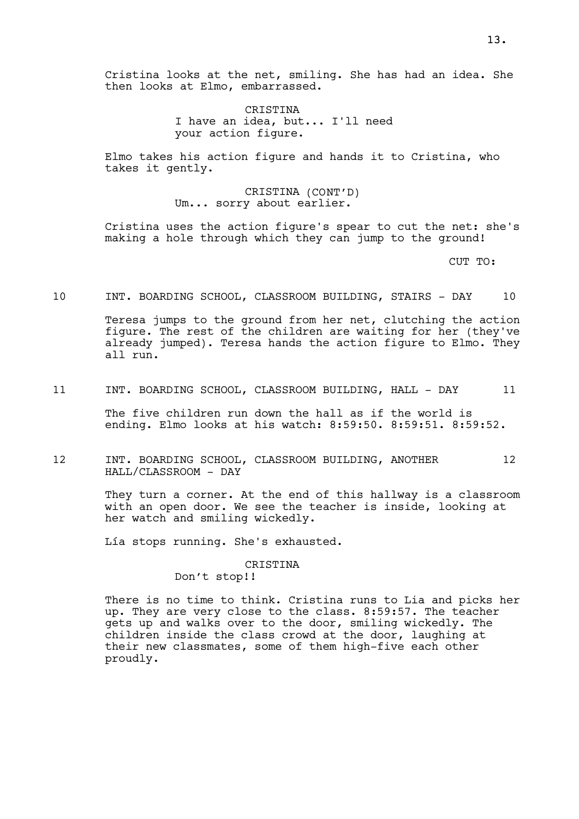CRISTINA I have an idea, but... I'll need your action figure.

Elmo takes his action figure and hands it to Cristina, who takes it gently.

> CRISTINA (CONT'D) Um... sorry about earlier.

Cristina uses the action figure's spear to cut the net: she's making a hole through which they can jump to the ground!

CUT TO:

10 INT. BOARDING SCHOOL, CLASSROOM BUILDING, STAIRS - DAY 10

Teresa jumps to the ground from her net, clutching the action figure. The rest of the children are waiting for her (they've already jumped). Teresa hands the action figure to Elmo. They all run.

11 INT. BOARDING SCHOOL, CLASSROOM BUILDING, HALL - DAY 11

The five children run down the hall as if the world is ending. Elmo looks at his watch: 8:59:50. 8:59:51. 8:59:52.

12 INT. BOARDING SCHOOL, CLASSROOM BUILDING, ANOTHER 12 HALL/CLASSROOM - DAY

> They turn a corner. At the end of this hallway is a classroom with an open door. We see the teacher is inside, looking at her watch and smiling wickedly.

Lía stops running. She's exhausted.

#### CRISTINA

Don't stop!!

There is no time to think. Cristina runs to Lia and picks her up. They are very close to the class. 8:59:57. The teacher gets up and walks over to the door, smiling wickedly. The children inside the class crowd at the door, laughing at their new classmates, some of them high-five each other proudly.